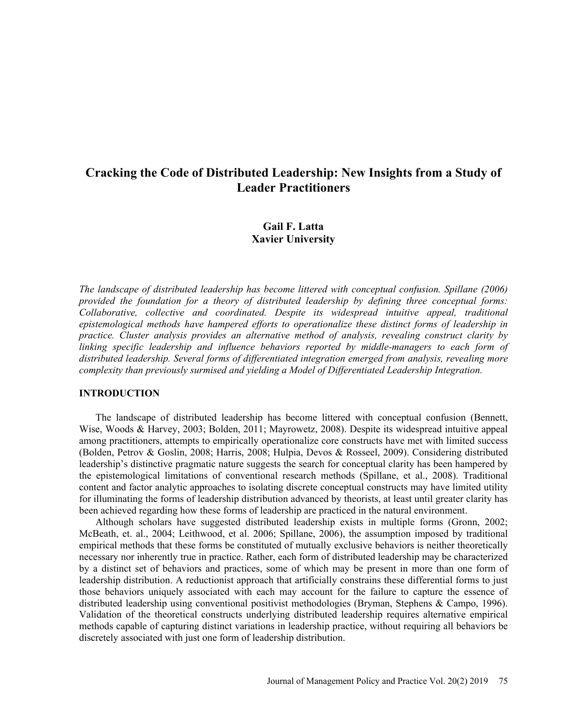# **Cracking the Code of Distributed Leadership: New Insights from a Study of Leader Practitioners**

# **Gail F. Latta Xavier University**

*The landscape of distributed leadership has become littered with conceptual confusion. Spillane (2006) provided the foundation for a theory of distributed leadership by defining three conceptual forms: Collaborative, collective and coordinated. Despite its widespread intuitive appeal, traditional epistemological methods have hampered efforts to operationalize these distinct forms of leadership in practice. Cluster analysis provides an alternative method of analysis, revealing construct clarity by linking specific leadership and influence behaviors reported by middle-managers to each form of distributed leadership. Several forms of differentiated integration emerged from analysis, revealing more complexity than previously surmised and yielding a Model of Differentiated Leadership Integration.* 

### **INTRODUCTION**

The landscape of distributed leadership has become littered with conceptual confusion (Bennett, Wise, Woods & Harvey, 2003; Bolden, 2011; Mayrowetz, 2008). Despite its widespread intuitive appeal among practitioners, attempts to empirically operationalize core constructs have met with limited success (Bolden, Petrov & Goslin, 2008; Harris, 2008; Hulpia, Devos & Rosseel, 2009). Considering distributed leadership's distinctive pragmatic nature suggests the search for conceptual clarity has been hampered by the epistemological limitations of conventional research methods (Spillane, et al., 2008). Traditional content and factor analytic approaches to isolating discrete conceptual constructs may have limited utility for illuminating the forms of leadership distribution advanced by theorists, at least until greater clarity has been achieved regarding how these forms of leadership are practiced in the natural environment.

Although scholars have suggested distributed leadership exists in multiple forms (Gronn, 2002; McBeath, et. al., 2004; Leithwood, et al. 2006; Spillane, 2006), the assumption imposed by traditional empirical methods that these forms be constituted of mutually exclusive behaviors is neither theoretically necessary nor inherently true in practice. Rather, each form of distributed leadership may be characterized by a distinct set of behaviors and practices, some of which may be present in more than one form of leadership distribution. A reductionist approach that artificially constrains these differential forms to just those behaviors uniquely associated with each may account for the failure to capture the essence of distributed leadership using conventional positivist methodologies (Bryman, Stephens & Campo, 1996). Validation of the theoretical constructs underlying distributed leadership requires alternative empirical methods capable of capturing distinct variations in leadership practice, without requiring all behaviors be discretely associated with just one form of leadership distribution.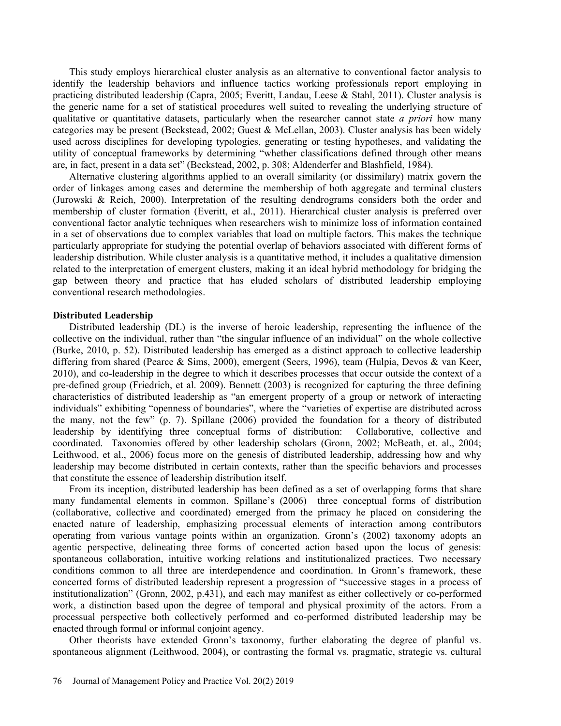This study employs hierarchical cluster analysis as an alternative to conventional factor analysis to identify the leadership behaviors and influence tactics working professionals report employing in practicing distributed leadership (Capra, 2005; Everitt, Landau, Leese & Stahl, 2011). Cluster analysis is the generic name for a set of statistical procedures well suited to revealing the underlying structure of qualitative or quantitative datasets, particularly when the researcher cannot state *a priori* how many categories may be present (Beckstead, 2002; Guest & McLellan, 2003). Cluster analysis has been widely used across disciplines for developing typologies, generating or testing hypotheses, and validating the utility of conceptual frameworks by determining "whether classifications defined through other means are, in fact, present in a data set" (Beckstead, 2002, p. 308; Aldenderfer and Blashfield, 1984).

Alternative clustering algorithms applied to an overall similarity (or dissimilary) matrix govern the order of linkages among cases and determine the membership of both aggregate and terminal clusters (Jurowski & Reich, 2000). Interpretation of the resulting dendrograms considers both the order and membership of cluster formation (Everitt, et al., 2011). Hierarchical cluster analysis is preferred over conventional factor analytic techniques when researchers wish to minimize loss of information contained in a set of observations due to complex variables that load on multiple factors. This makes the technique particularly appropriate for studying the potential overlap of behaviors associated with different forms of leadership distribution. While cluster analysis is a quantitative method, it includes a qualitative dimension related to the interpretation of emergent clusters, making it an ideal hybrid methodology for bridging the gap between theory and practice that has eluded scholars of distributed leadership employing conventional research methodologies.

### **Distributed Leadership**

Distributed leadership (DL) is the inverse of heroic leadership, representing the influence of the collective on the individual, rather than "the singular influence of an individual" on the whole collective (Burke, 2010, p. 52). Distributed leadership has emerged as a distinct approach to collective leadership differing from shared (Pearce & Sims, 2000), emergent (Seers, 1996), team (Hulpia, Devos & van Keer, 2010), and co-leadership in the degree to which it describes processes that occur outside the context of a pre-defined group (Friedrich, et al. 2009). Bennett (2003) is recognized for capturing the three defining characteristics of distributed leadership as "an emergent property of a group or network of interacting individuals" exhibiting "openness of boundaries", where the "varieties of expertise are distributed across the many, not the few" (p. 7). Spillane (2006) provided the foundation for a theory of distributed leadership by identifying three conceptual forms of distribution: Collaborative, collective and coordinated. Taxonomies offered by other leadership scholars (Gronn, 2002; McBeath, et. al., 2004; Leithwood, et al., 2006) focus more on the genesis of distributed leadership, addressing how and why leadership may become distributed in certain contexts, rather than the specific behaviors and processes that constitute the essence of leadership distribution itself.

From its inception, distributed leadership has been defined as a set of overlapping forms that share many fundamental elements in common. Spillane's (2006) three conceptual forms of distribution (collaborative, collective and coordinated) emerged from the primacy he placed on considering the enacted nature of leadership, emphasizing processual elements of interaction among contributors operating from various vantage points within an organization. Gronn's (2002) taxonomy adopts an agentic perspective, delineating three forms of concerted action based upon the locus of genesis: spontaneous collaboration, intuitive working relations and institutionalized practices. Two necessary conditions common to all three are interdependence and coordination. In Gronn's framework, these concerted forms of distributed leadership represent a progression of "successive stages in a process of institutionalization" (Gronn, 2002, p.431), and each may manifest as either collectively or co-performed work, a distinction based upon the degree of temporal and physical proximity of the actors. From a processual perspective both collectively performed and co-performed distributed leadership may be enacted through formal or informal conjoint agency.

Other theorists have extended Gronn's taxonomy, further elaborating the degree of planful vs. spontaneous alignment (Leithwood, 2004), or contrasting the formal vs. pragmatic, strategic vs. cultural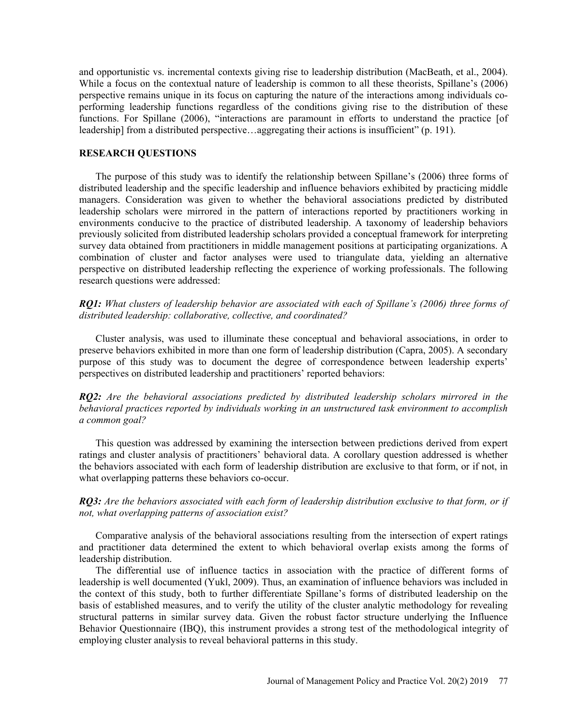and opportunistic vs. incremental contexts giving rise to leadership distribution (MacBeath, et al., 2004). While a focus on the contextual nature of leadership is common to all these theorists, Spillane's (2006) perspective remains unique in its focus on capturing the nature of the interactions among individuals coperforming leadership functions regardless of the conditions giving rise to the distribution of these functions. For Spillane (2006), "interactions are paramount in efforts to understand the practice [of leadership] from a distributed perspective…aggregating their actions is insufficient" (p. 191).

### **RESEARCH QUESTIONS**

The purpose of this study was to identify the relationship between Spillane's (2006) three forms of distributed leadership and the specific leadership and influence behaviors exhibited by practicing middle managers. Consideration was given to whether the behavioral associations predicted by distributed leadership scholars were mirrored in the pattern of interactions reported by practitioners working in environments conducive to the practice of distributed leadership. A taxonomy of leadership behaviors previously solicited from distributed leadership scholars provided a conceptual framework for interpreting survey data obtained from practitioners in middle management positions at participating organizations. A combination of cluster and factor analyses were used to triangulate data, yielding an alternative perspective on distributed leadership reflecting the experience of working professionals. The following research questions were addressed:

*RQ1: What clusters of leadership behavior are associated with each of Spillane's (2006) three forms of distributed leadership: collaborative, collective, and coordinated?* 

Cluster analysis, was used to illuminate these conceptual and behavioral associations, in order to preserve behaviors exhibited in more than one form of leadership distribution (Capra, 2005). A secondary purpose of this study was to document the degree of correspondence between leadership experts' perspectives on distributed leadership and practitioners' reported behaviors:

*RQ2: Are the behavioral associations predicted by distributed leadership scholars mirrored in the behavioral practices reported by individuals working in an unstructured task environment to accomplish a common goal?*

This question was addressed by examining the intersection between predictions derived from expert ratings and cluster analysis of practitioners' behavioral data. A corollary question addressed is whether the behaviors associated with each form of leadership distribution are exclusive to that form, or if not, in what overlapping patterns these behaviors co-occur.

*RQ3: Are the behaviors associated with each form of leadership distribution exclusive to that form, or if not, what overlapping patterns of association exist?* 

Comparative analysis of the behavioral associations resulting from the intersection of expert ratings and practitioner data determined the extent to which behavioral overlap exists among the forms of leadership distribution.

The differential use of influence tactics in association with the practice of different forms of leadership is well documented (Yukl, 2009). Thus, an examination of influence behaviors was included in the context of this study, both to further differentiate Spillane's forms of distributed leadership on the basis of established measures, and to verify the utility of the cluster analytic methodology for revealing structural patterns in similar survey data. Given the robust factor structure underlying the Influence Behavior Questionnaire (IBQ), this instrument provides a strong test of the methodological integrity of employing cluster analysis to reveal behavioral patterns in this study.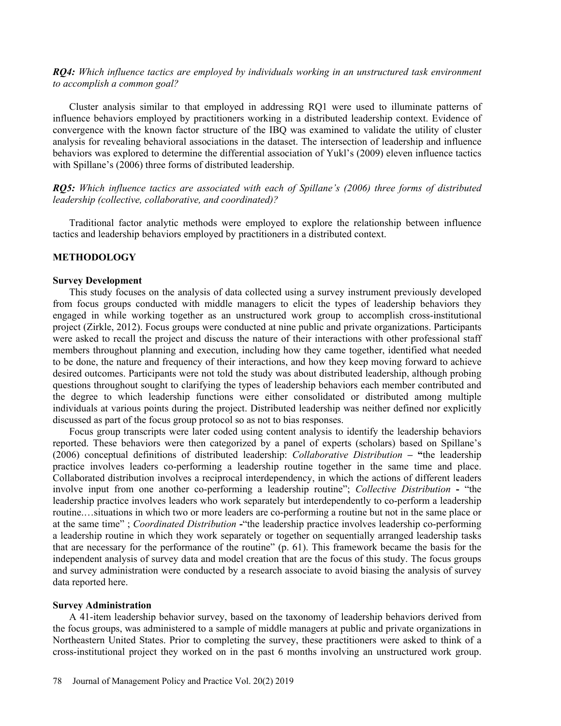*RQ4: Which influence tactics are employed by individuals working in an unstructured task environment to accomplish a common goal?* 

Cluster analysis similar to that employed in addressing RQ1 were used to illuminate patterns of influence behaviors employed by practitioners working in a distributed leadership context. Evidence of convergence with the known factor structure of the IBQ was examined to validate the utility of cluster analysis for revealing behavioral associations in the dataset. The intersection of leadership and influence behaviors was explored to determine the differential association of Yukl's (2009) eleven influence tactics with Spillane's (2006) three forms of distributed leadership.

*RQ5: Which influence tactics are associated with each of Spillane's (2006) three forms of distributed leadership (collective, collaborative, and coordinated)?* 

Traditional factor analytic methods were employed to explore the relationship between influence tactics and leadership behaviors employed by practitioners in a distributed context.

### **METHODOLOGY**

#### **Survey Development**

This study focuses on the analysis of data collected using a survey instrument previously developed from focus groups conducted with middle managers to elicit the types of leadership behaviors they engaged in while working together as an unstructured work group to accomplish cross-institutional project (Zirkle, 2012). Focus groups were conducted at nine public and private organizations. Participants were asked to recall the project and discuss the nature of their interactions with other professional staff members throughout planning and execution, including how they came together, identified what needed to be done, the nature and frequency of their interactions, and how they keep moving forward to achieve desired outcomes. Participants were not told the study was about distributed leadership, although probing questions throughout sought to clarifying the types of leadership behaviors each member contributed and the degree to which leadership functions were either consolidated or distributed among multiple individuals at various points during the project. Distributed leadership was neither defined nor explicitly discussed as part of the focus group protocol so as not to bias responses.

Focus group transcripts were later coded using content analysis to identify the leadership behaviors reported. These behaviors were then categorized by a panel of experts (scholars) based on Spillane's (2006) conceptual definitions of distributed leadership: *Collaborative Distribution* **– "**the leadership practice involves leaders co-performing a leadership routine together in the same time and place. Collaborated distribution involves a reciprocal interdependency, in which the actions of different leaders involve input from one another co-performing a leadership routine"; *Collective Distribution* **-** "the leadership practice involves leaders who work separately but interdependently to co-perform a leadership routine.…situations in which two or more leaders are co-performing a routine but not in the same place or at the same time" ; *Coordinated Distribution* **-**"the leadership practice involves leadership co-performing a leadership routine in which they work separately or together on sequentially arranged leadership tasks that are necessary for the performance of the routine" (p. 61). This framework became the basis for the independent analysis of survey data and model creation that are the focus of this study. The focus groups and survey administration were conducted by a research associate to avoid biasing the analysis of survey data reported here.

### **Survey Administration**

A 41-item leadership behavior survey, based on the taxonomy of leadership behaviors derived from the focus groups, was administered to a sample of middle managers at public and private organizations in Northeastern United States. Prior to completing the survey, these practitioners were asked to think of a cross-institutional project they worked on in the past 6 months involving an unstructured work group.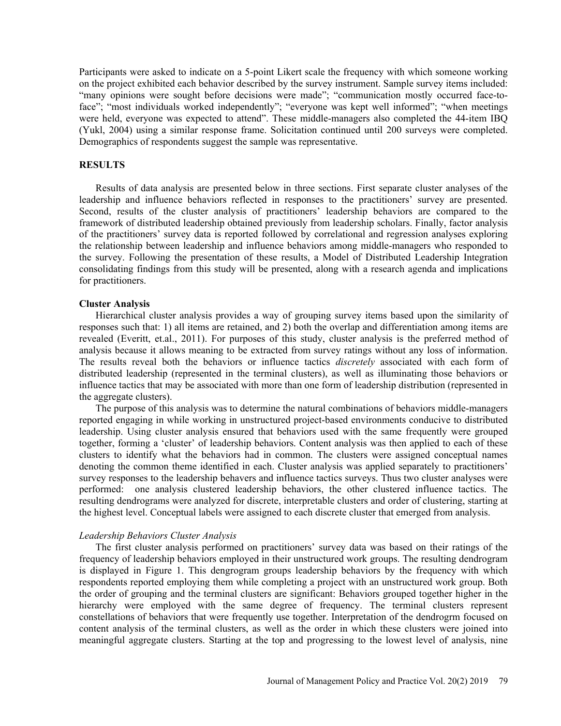Participants were asked to indicate on a 5-point Likert scale the frequency with which someone working on the project exhibited each behavior described by the survey instrument. Sample survey items included: "many opinions were sought before decisions were made"; "communication mostly occurred face-toface"; "most individuals worked independently"; "everyone was kept well informed"; "when meetings were held, everyone was expected to attend". These middle-managers also completed the 44-item IBQ (Yukl, 2004) using a similar response frame. Solicitation continued until 200 surveys were completed. Demographics of respondents suggest the sample was representative.

### **RESULTS**

Results of data analysis are presented below in three sections. First separate cluster analyses of the leadership and influence behaviors reflected in responses to the practitioners' survey are presented. Second, results of the cluster analysis of practitioners' leadership behaviors are compared to the framework of distributed leadership obtained previously from leadership scholars. Finally, factor analysis of the practitioners' survey data is reported followed by correlational and regression analyses exploring the relationship between leadership and influence behaviors among middle-managers who responded to the survey. Following the presentation of these results, a Model of Distributed Leadership Integration consolidating findings from this study will be presented, along with a research agenda and implications for practitioners.

#### **Cluster Analysis**

Hierarchical cluster analysis provides a way of grouping survey items based upon the similarity of responses such that: 1) all items are retained, and 2) both the overlap and differentiation among items are revealed (Everitt, et.al., 2011). For purposes of this study, cluster analysis is the preferred method of analysis because it allows meaning to be extracted from survey ratings without any loss of information. The results reveal both the behaviors or influence tactics *discretely* associated with each form of distributed leadership (represented in the terminal clusters), as well as illuminating those behaviors or influence tactics that may be associated with more than one form of leadership distribution (represented in the aggregate clusters).

The purpose of this analysis was to determine the natural combinations of behaviors middle-managers reported engaging in while working in unstructured project-based environments conducive to distributed leadership. Using cluster analysis ensured that behaviors used with the same frequently were grouped together, forming a 'cluster' of leadership behaviors. Content analysis was then applied to each of these clusters to identify what the behaviors had in common. The clusters were assigned conceptual names denoting the common theme identified in each. Cluster analysis was applied separately to practitioners' survey responses to the leadership behavers and influence tactics surveys. Thus two cluster analyses were performed: one analysis clustered leadership behaviors, the other clustered influence tactics. The resulting dendrograms were analyzed for discrete, interpretable clusters and order of clustering, starting at the highest level. Conceptual labels were assigned to each discrete cluster that emerged from analysis.

### *Leadership Behaviors Cluster Analysis*

The first cluster analysis performed on practitioners' survey data was based on their ratings of the frequency of leadership behaviors employed in their unstructured work groups. The resulting dendrogram is displayed in Figure 1. This dengrogram groups leadership behaviors by the frequency with which respondents reported employing them while completing a project with an unstructured work group. Both the order of grouping and the terminal clusters are significant: Behaviors grouped together higher in the hierarchy were employed with the same degree of frequency. The terminal clusters represent constellations of behaviors that were frequently use together. Interpretation of the dendrogrm focused on content analysis of the terminal clusters, as well as the order in which these clusters were joined into meaningful aggregate clusters. Starting at the top and progressing to the lowest level of analysis, nine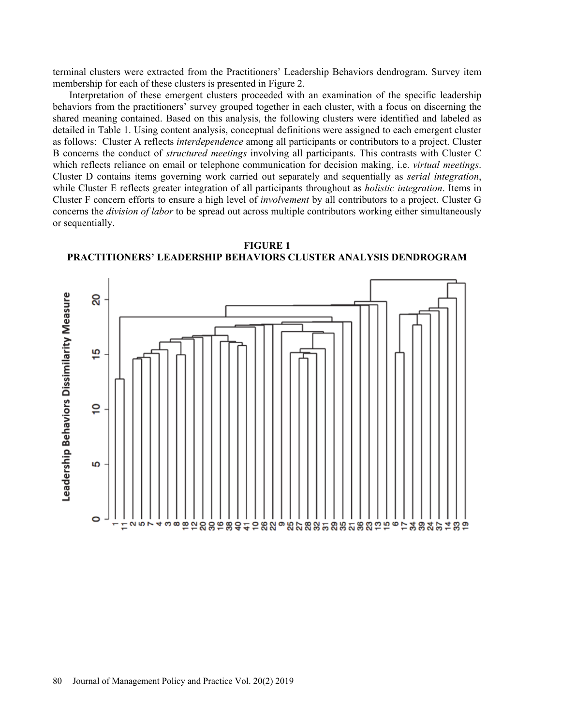terminal clusters were extracted from the Practitioners' Leadership Behaviors dendrogram. Survey item membership for each of these clusters is presented in Figure 2.

Interpretation of these emergent clusters proceeded with an examination of the specific leadership behaviors from the practitioners' survey grouped together in each cluster, with a focus on discerning the shared meaning contained. Based on this analysis, the following clusters were identified and labeled as detailed in Table 1. Using content analysis, conceptual definitions were assigned to each emergent cluster as follows: Cluster A reflects *interdependence* among all participants or contributors to a project. Cluster B concerns the conduct of *structured meetings* involving all participants. This contrasts with Cluster C which reflects reliance on email or telephone communication for decision making, i.e. *virtual meetings*. Cluster D contains items governing work carried out separately and sequentially as *serial integration*, while Cluster E reflects greater integration of all participants throughout as *holistic integration*. Items in Cluster F concern efforts to ensure a high level of *involvement* by all contributors to a project. Cluster G concerns the *division of labor* to be spread out across multiple contributors working either simultaneously or sequentially.



**FIGURE 1 PRACTITIONERS' LEADERSHIP BEHAVIORS CLUSTER ANALYSIS DENDROGRAM**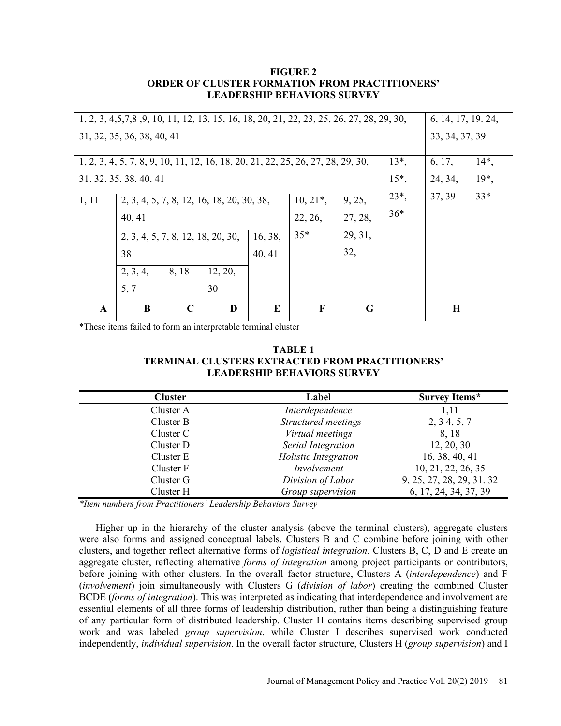### **FIGURE 2 ORDER OF CLUSTER FORMATION FROM PRACTITIONERS' LEADERSHIP BEHAVIORS SURVEY**

|                                                                                             | 1, 2, 3, 4, 5, 7, 8, 9, 10, 11, 12, 13, 15, 16, 18, 20, 21, 22, 23, 25, 26, 27, 28, 29, 30,<br>6, 14, 17, 19, 24, |             |         |       |              |          |                |             |        |
|---------------------------------------------------------------------------------------------|-------------------------------------------------------------------------------------------------------------------|-------------|---------|-------|--------------|----------|----------------|-------------|--------|
| 31, 32, 35, 36, 38, 40, 41                                                                  |                                                                                                                   |             |         |       |              |          | 33, 34, 37, 39 |             |        |
|                                                                                             |                                                                                                                   |             |         |       |              |          |                |             |        |
| $13^*$ ,<br>1, 2, 3, 4, 5, 7, 8, 9, 10, 11, 12, 16, 18, 20, 21, 22, 25, 26, 27, 28, 29, 30, |                                                                                                                   |             |         |       |              |          |                | 6, 17,      | $14*,$ |
| 31. 32. 35. 38. 40. 41                                                                      |                                                                                                                   |             |         |       |              | $15^*$ , | 24, 34,        | $19^*$      |        |
| 1, 11                                                                                       | 2, 3, 4, 5, 7, 8, 12, 16, 18, 20, 30, 38,                                                                         |             |         |       | $10, 21^*$ , | 9, 25,   | $23^*$ ,       | 37, 39      | $33*$  |
|                                                                                             | 40, 41                                                                                                            |             |         |       | 22, 26,      | 27, 28,  | $36*$          |             |        |
|                                                                                             | 16, 38,<br>2, 3, 4, 5, 7, 8, 12, 18, 20, 30,                                                                      |             |         | $35*$ | 29, 31,      |          |                |             |        |
|                                                                                             | 38<br>40, 41                                                                                                      |             |         |       | 32,          |          |                |             |        |
|                                                                                             | 2, 3, 4,                                                                                                          | 8, 18       | 12, 20, |       |              |          |                |             |        |
|                                                                                             | 5, 7                                                                                                              |             | 30      |       |              |          |                |             |        |
| $\mathbf{A}$                                                                                | B                                                                                                                 | $\mathbf C$ | D       | E     | F            | G        |                | $\mathbf H$ |        |

\*These items failed to form an interpretable terminal cluster

**TABLE 1 TERMINAL CLUSTERS EXTRACTED FROM PRACTITIONERS' LEADERSHIP BEHAVIORS SURVEY** 

| <b>Cluster</b> | Label                | <b>Survey Items*</b>      |
|----------------|----------------------|---------------------------|
| Cluster A      | Interdependence      | 1,11                      |
| Cluster B      | Structured meetings  | 2, 3, 4, 5, 7             |
| Cluster C      | Virtual meetings     | 8, 18                     |
| Cluster D      | Serial Integration   | 12, 20, 30                |
| Cluster E      | Holistic Integration | 16, 38, 40, 41            |
| Cluster F      | Involvement          | 10, 21, 22, 26, 35        |
| Cluster G      | Division of Labor    | 9, 25, 27, 28, 29, 31, 32 |
| Cluster H      | Group supervision    | 6, 17, 24, 34, 37, 39     |

*\*Item numbers from Practitioners' Leadership Behaviors Survey*

Higher up in the hierarchy of the cluster analysis (above the terminal clusters), aggregate clusters were also forms and assigned conceptual labels. Clusters B and C combine before joining with other clusters, and together reflect alternative forms of *logistical integration*. Clusters B, C, D and E create an aggregate cluster, reflecting alternative *forms of integration* among project participants or contributors, before joining with other clusters. In the overall factor structure, Clusters A (*interdependence*) and F (*involvement*) join simultaneously with Clusters G (*division of labor*) creating the combined Cluster BCDE (*forms of integration*). This was interpreted as indicating that interdependence and involvement are essential elements of all three forms of leadership distribution, rather than being a distinguishing feature of any particular form of distributed leadership. Cluster H contains items describing supervised group work and was labeled *group supervision*, while Cluster I describes supervised work conducted independently, *individual supervision*. In the overall factor structure, Clusters H (*group supervision*) and I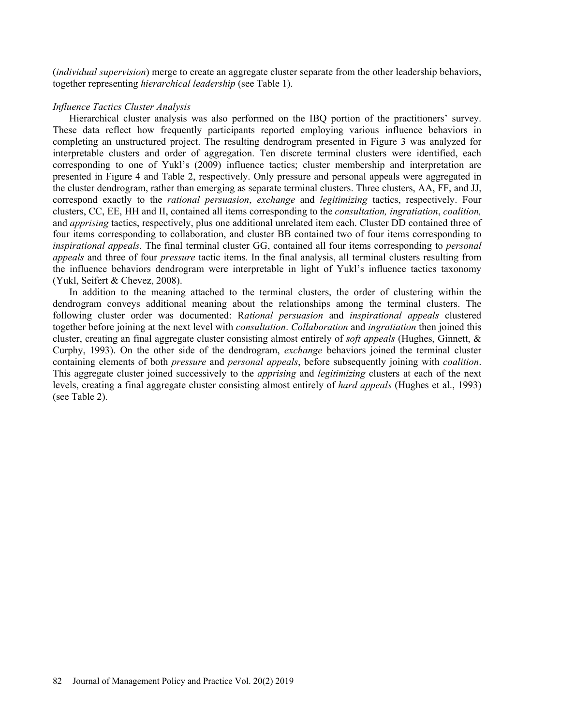(*individual supervision*) merge to create an aggregate cluster separate from the other leadership behaviors, together representing *hierarchical leadership* (see Table 1).

### *Influence Tactics Cluster Analysis*

Hierarchical cluster analysis was also performed on the IBQ portion of the practitioners' survey. These data reflect how frequently participants reported employing various influence behaviors in completing an unstructured project. The resulting dendrogram presented in Figure 3 was analyzed for interpretable clusters and order of aggregation. Ten discrete terminal clusters were identified, each corresponding to one of Yukl's (2009) influence tactics; cluster membership and interpretation are presented in Figure 4 and Table 2, respectively. Only pressure and personal appeals were aggregated in the cluster dendrogram, rather than emerging as separate terminal clusters. Three clusters, AA, FF, and JJ, correspond exactly to the *rational persuasion*, *exchange* and *legitimizing* tactics, respectively. Four clusters, CC, EE, HH and II, contained all items corresponding to the *consultation, ingratiation*, *coalition,*  and *apprising* tactics, respectively, plus one additional unrelated item each. Cluster DD contained three of four items corresponding to collaboration, and cluster BB contained two of four items corresponding to *inspirational appeals*. The final terminal cluster GG, contained all four items corresponding to *personal appeals* and three of four *pressure* tactic items. In the final analysis, all terminal clusters resulting from the influence behaviors dendrogram were interpretable in light of Yukl's influence tactics taxonomy (Yukl, Seifert & Chevez, 2008).

In addition to the meaning attached to the terminal clusters, the order of clustering within the dendrogram conveys additional meaning about the relationships among the terminal clusters. The following cluster order was documented: R*ational persuasion* and *inspirational appeals* clustered together before joining at the next level with *consultation*. *Collaboration* and *ingratiation* then joined this cluster, creating an final aggregate cluster consisting almost entirely of *soft appeals* (Hughes, Ginnett, & Curphy, 1993). On the other side of the dendrogram, *exchange* behaviors joined the terminal cluster containing elements of both *pressure* and *personal appeals*, before subsequently joining with *coalition*. This aggregate cluster joined successively to the *apprising* and *legitimizing* clusters at each of the next levels, creating a final aggregate cluster consisting almost entirely of *hard appeals* (Hughes et al., 1993) (see Table 2).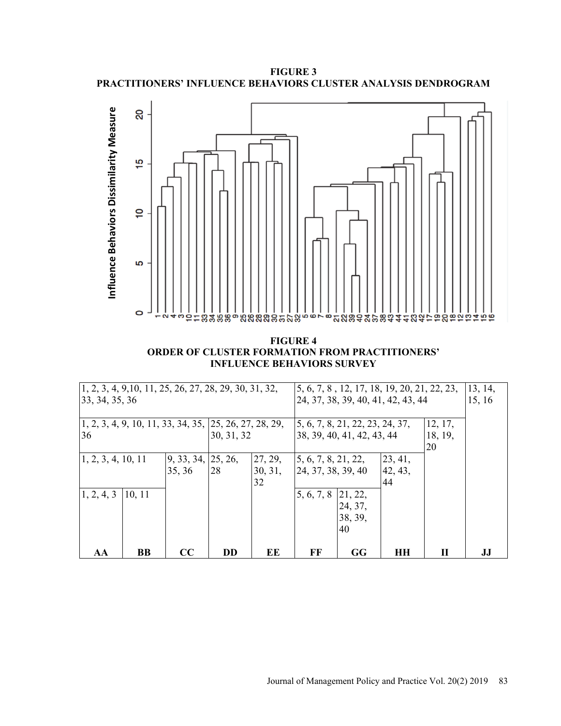**FIGURE 3 PRACTITIONERS' INFLUENCE BEHAVIORS CLUSTER ANALYSIS DENDROGRAM** 



**FIGURE 4 ORDER OF CLUSTER FORMATION FROM PRACTITIONERS' INFLUENCE BEHAVIORS SURVEY** 

| $\left[1, 2, 3, 4, 9, 10, 11, 25, 26, 27, 28, 29, 30, 31, 32, \right]$<br>33, 34, 35, 36 |        |                                    |                                                          | 5, 6, 7, 8, 12, 17, 18, 19, 20, 21, 22, 23,<br>24, 37, 38, 39, 40, 41, 42, 43, 44 |                            |                                 | 13, 14,<br>15, 16 |         |    |
|------------------------------------------------------------------------------------------|--------|------------------------------------|----------------------------------------------------------|-----------------------------------------------------------------------------------|----------------------------|---------------------------------|-------------------|---------|----|
|                                                                                          |        |                                    |                                                          |                                                                                   |                            |                                 |                   |         |    |
|                                                                                          |        |                                    | $1, 2, 3, 4, 9, 10, 11, 33, 34, 35, 25, 26, 27, 28, 29,$ |                                                                                   |                            | 5, 6, 7, 8, 21, 22, 23, 24, 37, |                   | 12, 17, |    |
| 36                                                                                       |        |                                    | 30, 31, 32                                               |                                                                                   | 38, 39, 40, 41, 42, 43, 44 |                                 |                   | 18, 19, |    |
|                                                                                          |        |                                    |                                                          |                                                                                   |                            |                                 |                   | 20      |    |
| $\vert 1, 2, 3, 4, 10, 11 \rangle$                                                       |        | $\left[9, 33, 34, 25, 26, \right]$ |                                                          | 27, 29,                                                                           | 5, 6, 7, 8, 21, 22,        |                                 | 23, 41,           |         |    |
|                                                                                          |        | 35, 36                             | 28                                                       | 30, 31,                                                                           | 24, 37, 38, 39, 40         |                                 | 42, 43,           |         |    |
|                                                                                          |        |                                    |                                                          | 32                                                                                |                            |                                 | 44                |         |    |
| 1, 2, 4, 3                                                                               | 10, 11 |                                    |                                                          |                                                                                   | 5, 6, 7, 8 21, 22,         |                                 |                   |         |    |
|                                                                                          |        |                                    |                                                          |                                                                                   |                            | 24, 37,                         |                   |         |    |
|                                                                                          |        |                                    |                                                          |                                                                                   |                            | 38, 39,                         |                   |         |    |
|                                                                                          |        |                                    |                                                          |                                                                                   |                            | 40                              |                   |         |    |
|                                                                                          |        |                                    |                                                          |                                                                                   |                            |                                 |                   |         |    |
| AA                                                                                       | BB     | CC                                 | <b>DD</b>                                                | EE                                                                                | FF                         | GG                              | HН                | П       | IJ |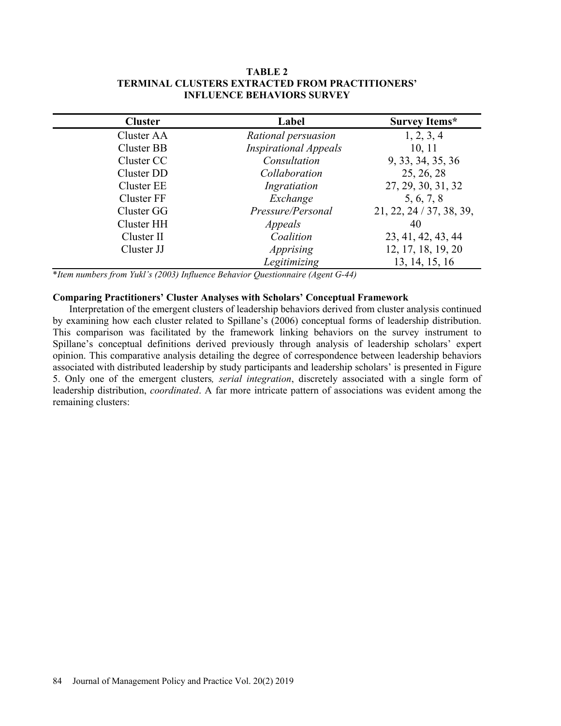### **TABLE 2 TERMINAL CLUSTERS EXTRACTED FROM PRACTITIONERS' INFLUENCE BEHAVIORS SURVEY**

| <b>Cluster</b>    | Label                        | <b>Survey Items*</b>     |
|-------------------|------------------------------|--------------------------|
| Cluster AA        | Rational persuasion          | 1, 2, 3, 4               |
| Cluster BB        | <b>Inspirational Appeals</b> | 10, 11                   |
| Cluster CC        | Consultation                 | 9, 33, 34, 35, 36        |
| Cluster DD        | Collaboration                | 25, 26, 28               |
| Cluster EE        | Ingratiation                 | 27, 29, 30, 31, 32       |
| <b>Cluster FF</b> | Exchange                     | 5, 6, 7, 8               |
| Cluster GG        | Pressure/Personal            | 21, 22, 24 / 37, 38, 39, |
| Cluster HH        | Appeals                      | 40                       |
| Cluster II        | Coalition                    | 23, 41, 42, 43, 44       |
| Cluster JJ        | Apprising                    | 12, 17, 18, 19, 20       |
|                   | Legitimizing                 | 13, 14, 15, 16           |

\**Item numbers from Yukl's (2003) Influence Behavior Questionnaire (Agent G-44)* 

# **Comparing Practitioners' Cluster Analyses with Scholars' Conceptual Framework**

Interpretation of the emergent clusters of leadership behaviors derived from cluster analysis continued by examining how each cluster related to Spillane's (2006) conceptual forms of leadership distribution. This comparison was facilitated by the framework linking behaviors on the survey instrument to Spillane's conceptual definitions derived previously through analysis of leadership scholars' expert opinion. This comparative analysis detailing the degree of correspondence between leadership behaviors associated with distributed leadership by study participants and leadership scholars' is presented in Figure 5. Only one of the emergent clusters*, serial integration*, discretely associated with a single form of leadership distribution, *coordinated*. A far more intricate pattern of associations was evident among the remaining clusters: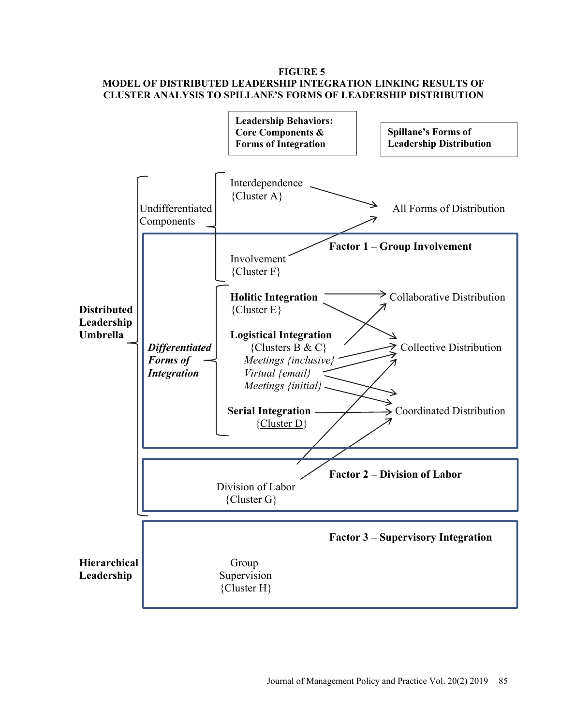## **FIGURE 5 MODEL OF DISTRIBUTED LEADERSHIP INTEGRATION LINKING RESULTS OF CLUSTER ANALYSIS TO SPILLANE'S FORMS OF LEADERSHIP DISTRIBUTION**

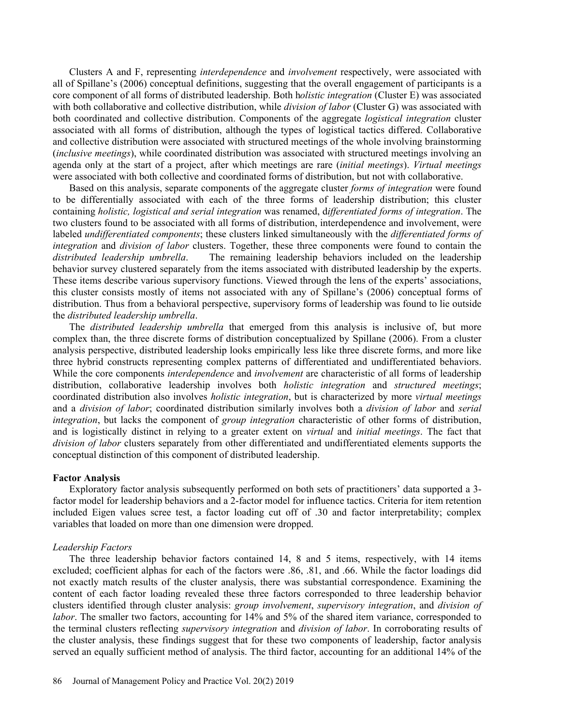Clusters A and F, representing *interdependence* and *involvement* respectively, were associated with all of Spillane's (2006) conceptual definitions, suggesting that the overall engagement of participants is a core component of all forms of distributed leadership. Both h*olistic integration* (Cluster E) was associated with both collaborative and collective distribution, while *division of labor* (Cluster G) was associated with both coordinated and collective distribution. Components of the aggregate *logistical integration* cluster associated with all forms of distribution, although the types of logistical tactics differed. Collaborative and collective distribution were associated with structured meetings of the whole involving brainstorming (*inclusive meetings*), while coordinated distribution was associated with structured meetings involving an agenda only at the start of a project, after which meetings are rare (*initial meetings*). *Virtual meetings* were associated with both collective and coordinated forms of distribution, but not with collaborative.

Based on this analysis, separate components of the aggregate cluster *forms of integration* were found to be differentially associated with each of the three forms of leadership distribution; this cluster containing *holistic, logistical and serial integration* was renamed, d*ifferentiated forms of integration*. The two clusters found to be associated with all forms of distribution, interdependence and involvement, were labeled *undifferentiated components*; these clusters linked simultaneously with the *differentiated forms of integration* and *division of labor* clusters. Together, these three components were found to contain the *distributed leadership umbrella*. The remaining leadership behaviors included on the leadership behavior survey clustered separately from the items associated with distributed leadership by the experts. These items describe various supervisory functions. Viewed through the lens of the experts' associations, this cluster consists mostly of items not associated with any of Spillane's (2006) conceptual forms of distribution. Thus from a behavioral perspective, supervisory forms of leadership was found to lie outside the *distributed leadership umbrella*.

The *distributed leadership umbrella* that emerged from this analysis is inclusive of, but more complex than, the three discrete forms of distribution conceptualized by Spillane (2006). From a cluster analysis perspective, distributed leadership looks empirically less like three discrete forms, and more like three hybrid constructs representing complex patterns of differentiated and undifferentiated behaviors. While the core components *interdependence* and *involvement* are characteristic of all forms of leadership distribution, collaborative leadership involves both *holistic integration* and *structured meetings*; coordinated distribution also involves *holistic integration*, but is characterized by more *virtual meetings* and a *division of labor*; coordinated distribution similarly involves both a *division of labor* and *serial integration*, but lacks the component of *group integration* characteristic of other forms of distribution, and is logistically distinct in relying to a greater extent on *virtual* and *initial meetings*. The fact that *division of labor* clusters separately from other differentiated and undifferentiated elements supports the conceptual distinction of this component of distributed leadership.

### **Factor Analysis**

Exploratory factor analysis subsequently performed on both sets of practitioners' data supported a 3 factor model for leadership behaviors and a 2-factor model for influence tactics. Criteria for item retention included Eigen values scree test, a factor loading cut off of .30 and factor interpretability; complex variables that loaded on more than one dimension were dropped.

### *Leadership Factors*

The three leadership behavior factors contained 14, 8 and 5 items, respectively, with 14 items excluded; coefficient alphas for each of the factors were .86, .81, and .66. While the factor loadings did not exactly match results of the cluster analysis, there was substantial correspondence. Examining the content of each factor loading revealed these three factors corresponded to three leadership behavior clusters identified through cluster analysis: *group involvement*, *supervisory integration*, and *division of labor*. The smaller two factors, accounting for 14% and 5% of the shared item variance, corresponded to the terminal clusters reflecting *supervisory integration* and *division of labor*. In corroborating results of the cluster analysis, these findings suggest that for these two components of leadership, factor analysis served an equally sufficient method of analysis. The third factor, accounting for an additional 14% of the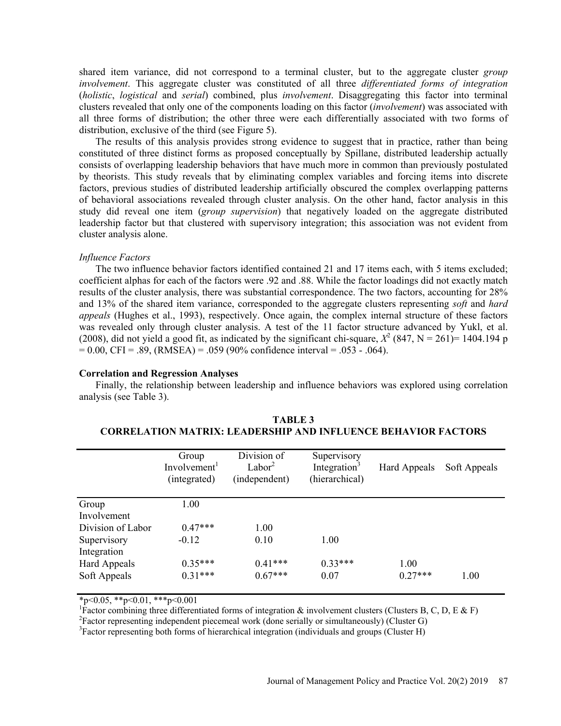shared item variance, did not correspond to a terminal cluster, but to the aggregate cluster *group involvement*. This aggregate cluster was constituted of all three *differentiated forms of integration* (*holistic*, *logistical* and *serial*) combined, plus *involvement*. Disaggregating this factor into terminal clusters revealed that only one of the components loading on this factor (*involvement*) was associated with all three forms of distribution; the other three were each differentially associated with two forms of distribution, exclusive of the third (see Figure 5).

The results of this analysis provides strong evidence to suggest that in practice, rather than being constituted of three distinct forms as proposed conceptually by Spillane, distributed leadership actually consists of overlapping leadership behaviors that have much more in common than previously postulated by theorists. This study reveals that by eliminating complex variables and forcing items into discrete factors, previous studies of distributed leadership artificially obscured the complex overlapping patterns of behavioral associations revealed through cluster analysis. On the other hand, factor analysis in this study did reveal one item (*group supervision*) that negatively loaded on the aggregate distributed leadership factor but that clustered with supervisory integration; this association was not evident from cluster analysis alone.

### *Influence Factors*

The two influence behavior factors identified contained 21 and 17 items each, with 5 items excluded; coefficient alphas for each of the factors were .92 and .88. While the factor loadings did not exactly match results of the cluster analysis, there was substantial correspondence. The two factors, accounting for 28% and 13% of the shared item variance, corresponded to the aggregate clusters representing *soft* and *hard appeals* (Hughes et al., 1993), respectively. Once again, the complex internal structure of these factors was revealed only through cluster analysis. A test of the 11 factor structure advanced by Yukl, et al. (2008), did not yield a good fit, as indicated by the significant chi-square,  $X^2$  (847, N = 261)= 1404.194 p  $= 0.00$ , CFI = .89, (RMSEA) = .059 (90% confidence interval = .053 - .064).

#### **Correlation and Regression Analyses**

Finally, the relationship between leadership and influence behaviors was explored using correlation analysis (see Table 3).

|                     | Group<br>Involvement <sup>1</sup><br>(integrated) | Division of<br>Labor <sup>2</sup><br>(independent) | Supervisory<br>Integration <sup>3</sup><br>(hierarchical) | Hard Appeals | Soft Appeals |
|---------------------|---------------------------------------------------|----------------------------------------------------|-----------------------------------------------------------|--------------|--------------|
| Group               | 1.00                                              |                                                    |                                                           |              |              |
| Involvement         |                                                   |                                                    |                                                           |              |              |
| Division of Labor   | $0.47***$                                         | 1.00                                               |                                                           |              |              |
| Supervisory         | $-0.12$                                           | 0.10                                               | 1.00                                                      |              |              |
| Integration         |                                                   |                                                    |                                                           |              |              |
| <b>Hard Appeals</b> | $0.35***$                                         | $0.41***$                                          | $0.33***$                                                 | 1.00         |              |
| Soft Appeals        | $0.31***$                                         | $0.67***$                                          | 0.07                                                      | $0.27***$    | 1.00         |

| <b>TABLE 3</b>                                                       |
|----------------------------------------------------------------------|
| <b>CORRELATION MATRIX: LEADERSHIP AND INFLUENCE BEHAVIOR FACTORS</b> |

 $*_{p<0.05}$ ,  $*_{p<0.01}$ ,  $*_{p<0.001}$ 

<sup>1</sup>Factor combining three differentiated forms of integration  $\&$  involvement clusters (Clusters B, C, D, E  $\&$  F)

 ${}^{2}$ Factor representing independent piecemeal work (done serially or simultaneously) (Cluster G)  ${}^{3}$ Factor representing both forms of biographical integration (individuals and groups (Cluster H)

 ${}^{3}$ Factor representing both forms of hierarchical integration (individuals and groups (Cluster H)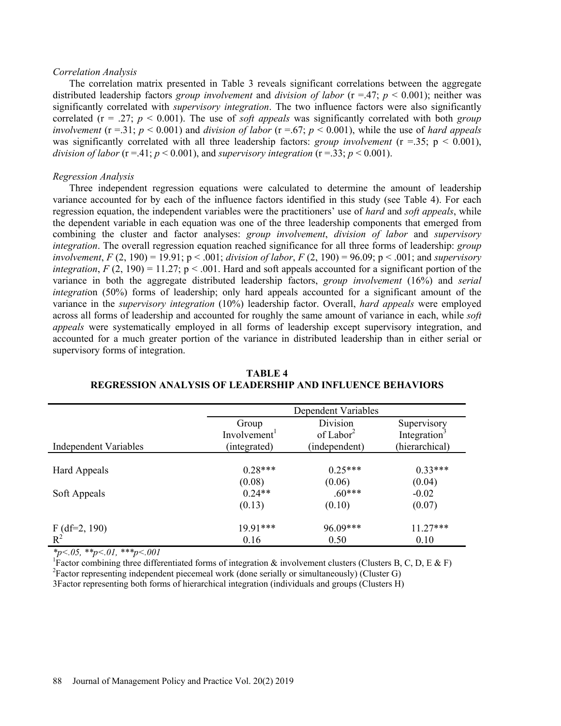#### *Correlation Analysis*

The correlation matrix presented in Table 3 reveals significant correlations between the aggregate distributed leadership factors *group involvement* and *division of labor* (r =.47; *p* < 0.001); neither was significantly correlated with *supervisory integration*. The two influence factors were also significantly correlated ( $r = .27$ ;  $p < 0.001$ ). The use of *soft appeals* was significantly correlated with both *group involvement* ( $r = 0.31$ ;  $p < 0.001$ ) and *division of labor* ( $r = 0.67$ ;  $p < 0.001$ ), while the use of *hard appeals* was significantly correlated with all three leadership factors: *group involvement*  $(r = 0.35; p < 0.001)$ , *division of labor* ( $r = .41$ ;  $p < 0.001$ ), and *supervisory integration* ( $r = .33$ ;  $p < 0.001$ ).

#### *Regression Analysis*

Three independent regression equations were calculated to determine the amount of leadership variance accounted for by each of the influence factors identified in this study (see Table 4). For each regression equation, the independent variables were the practitioners' use of *hard* and *soft appeals*, while the dependent variable in each equation was one of the three leadership components that emerged from combining the cluster and factor analyses: *group involvement*, *division of labor* and *supervisory integration*. The overall regression equation reached significance for all three forms of leadership: *group involvement*, *F* (2, 190) = 19.91; p < .001; *division of labor*, *F* (2, 190) = 96.09; p < .001; and *supervisory integration, F* (2, 190) = 11.27;  $p < .001$ . Hard and soft appeals accounted for a significant portion of the variance in both the aggregate distributed leadership factors, *group involvement* (16%) and *serial integrati*on (50%) forms of leadership; only hard appeals accounted for a significant amount of the variance in the *supervisory integration* (10%) leadership factor. Overall, *hard appeals* were employed across all forms of leadership and accounted for roughly the same amount of variance in each, while *soft appeals* were systematically employed in all forms of leadership except supervisory integration, and accounted for a much greater portion of the variance in distributed leadership than in either serial or supervisory forms of integration.

|                                   |                          | Dependent Variables   |                          |  |
|-----------------------------------|--------------------------|-----------------------|--------------------------|--|
|                                   | Group                    | Division              | Supervisory              |  |
|                                   | Involvement <sup>1</sup> | of Labor <sup>2</sup> | Integration <sup>3</sup> |  |
| <b>Independent Variables</b>      | (integrated)             | (independent)         | (hierarchical)           |  |
|                                   |                          |                       |                          |  |
| Hard Appeals                      | $0.28***$                | $0.25***$             | $0.33***$                |  |
|                                   | (0.08)                   | (0.06)                | (0.04)                   |  |
| Soft Appeals                      | $0.24**$                 | $.60***$              | $-0.02$                  |  |
|                                   | (0.13)                   | (0.10)                | (0.07)                   |  |
|                                   | 19.91***                 | 96.09***              | $11.27***$               |  |
| $F$ (df=2, 190)<br>R <sup>2</sup> | 0.16                     | 0.50                  | 0.10                     |  |

**TABLE 4 REGRESSION ANALYSIS OF LEADERSHIP AND INFLUENCE BEHAVIORS** 

*\*p<.05, \*\*p<.01, \*\*\*p<.001* 

<sup>1</sup>Factor combining three differentiated forms of integration & involvement clusters (Clusters B, C, D, E & F) <sup>2</sup> Factor representing independent piecemeal work (done serially or simultaneously) (Cluster G)

3Factor representing both forms of hierarchical integration (individuals and groups (Clusters H)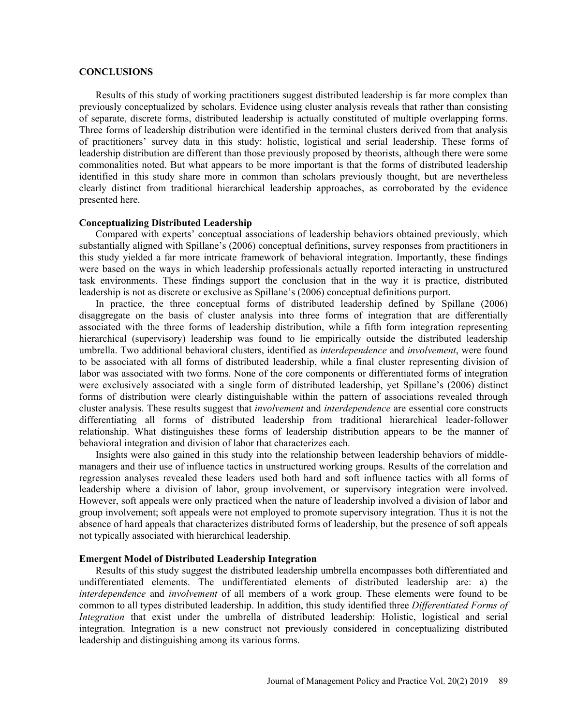### **CONCLUSIONS**

Results of this study of working practitioners suggest distributed leadership is far more complex than previously conceptualized by scholars. Evidence using cluster analysis reveals that rather than consisting of separate, discrete forms, distributed leadership is actually constituted of multiple overlapping forms. Three forms of leadership distribution were identified in the terminal clusters derived from that analysis of practitioners' survey data in this study: holistic, logistical and serial leadership. These forms of leadership distribution are different than those previously proposed by theorists, although there were some commonalities noted. But what appears to be more important is that the forms of distributed leadership identified in this study share more in common than scholars previously thought, but are nevertheless clearly distinct from traditional hierarchical leadership approaches, as corroborated by the evidence presented here.

### **Conceptualizing Distributed Leadership**

Compared with experts' conceptual associations of leadership behaviors obtained previously, which substantially aligned with Spillane's (2006) conceptual definitions, survey responses from practitioners in this study yielded a far more intricate framework of behavioral integration. Importantly, these findings were based on the ways in which leadership professionals actually reported interacting in unstructured task environments. These findings support the conclusion that in the way it is practice, distributed leadership is not as discrete or exclusive as Spillane's (2006) conceptual definitions purport.

In practice, the three conceptual forms of distributed leadership defined by Spillane (2006) disaggregate on the basis of cluster analysis into three forms of integration that are differentially associated with the three forms of leadership distribution, while a fifth form integration representing hierarchical (supervisory) leadership was found to lie empirically outside the distributed leadership umbrella. Two additional behavioral clusters, identified as *interdependence* and *involvement*, were found to be associated with all forms of distributed leadership, while a final cluster representing division of labor was associated with two forms. None of the core components or differentiated forms of integration were exclusively associated with a single form of distributed leadership, yet Spillane's (2006) distinct forms of distribution were clearly distinguishable within the pattern of associations revealed through cluster analysis. These results suggest that *involvement* and *interdependence* are essential core constructs differentiating all forms of distributed leadership from traditional hierarchical leader-follower relationship. What distinguishes these forms of leadership distribution appears to be the manner of behavioral integration and division of labor that characterizes each.

Insights were also gained in this study into the relationship between leadership behaviors of middlemanagers and their use of influence tactics in unstructured working groups. Results of the correlation and regression analyses revealed these leaders used both hard and soft influence tactics with all forms of leadership where a division of labor, group involvement, or supervisory integration were involved. However, soft appeals were only practiced when the nature of leadership involved a division of labor and group involvement; soft appeals were not employed to promote supervisory integration. Thus it is not the absence of hard appeals that characterizes distributed forms of leadership, but the presence of soft appeals not typically associated with hierarchical leadership.

### **Emergent Model of Distributed Leadership Integration**

Results of this study suggest the distributed leadership umbrella encompasses both differentiated and undifferentiated elements. The undifferentiated elements of distributed leadership are: a) the *interdependence* and *involvement* of all members of a work group. These elements were found to be common to all types distributed leadership. In addition, this study identified three *Differentiated Forms of Integration* that exist under the umbrella of distributed leadership: Holistic, logistical and serial integration. Integration is a new construct not previously considered in conceptualizing distributed leadership and distinguishing among its various forms.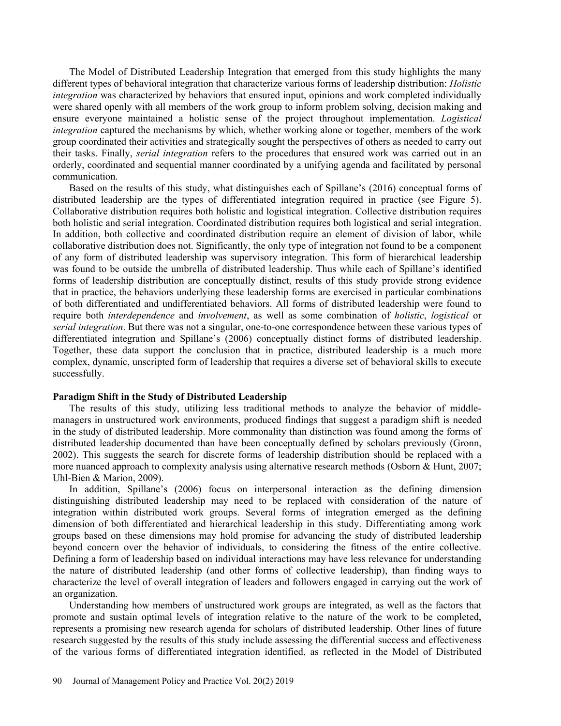The Model of Distributed Leadership Integration that emerged from this study highlights the many different types of behavioral integration that characterize various forms of leadership distribution: *Holistic integration* was characterized by behaviors that ensured input, opinions and work completed individually were shared openly with all members of the work group to inform problem solving, decision making and ensure everyone maintained a holistic sense of the project throughout implementation. *Logistical integration* captured the mechanisms by which, whether working alone or together, members of the work group coordinated their activities and strategically sought the perspectives of others as needed to carry out their tasks. Finally, *serial integration* refers to the procedures that ensured work was carried out in an orderly, coordinated and sequential manner coordinated by a unifying agenda and facilitated by personal communication.

Based on the results of this study, what distinguishes each of Spillane's (2016) conceptual forms of distributed leadership are the types of differentiated integration required in practice (see Figure 5). Collaborative distribution requires both holistic and logistical integration. Collective distribution requires both holistic and serial integration. Coordinated distribution requires both logistical and serial integration. In addition, both collective and coordinated distribution require an element of division of labor, while collaborative distribution does not. Significantly, the only type of integration not found to be a component of any form of distributed leadership was supervisory integration. This form of hierarchical leadership was found to be outside the umbrella of distributed leadership. Thus while each of Spillane's identified forms of leadership distribution are conceptually distinct, results of this study provide strong evidence that in practice, the behaviors underlying these leadership forms are exercised in particular combinations of both differentiated and undifferentiated behaviors. All forms of distributed leadership were found to require both *interdependence* and *involvement*, as well as some combination of *holistic*, *logistical* or *serial integration*. But there was not a singular, one-to-one correspondence between these various types of differentiated integration and Spillane's (2006) conceptually distinct forms of distributed leadership. Together, these data support the conclusion that in practice, distributed leadership is a much more complex, dynamic, unscripted form of leadership that requires a diverse set of behavioral skills to execute successfully.

### **Paradigm Shift in the Study of Distributed Leadership**

The results of this study, utilizing less traditional methods to analyze the behavior of middlemanagers in unstructured work environments, produced findings that suggest a paradigm shift is needed in the study of distributed leadership. More commonality than distinction was found among the forms of distributed leadership documented than have been conceptually defined by scholars previously (Gronn, 2002). This suggests the search for discrete forms of leadership distribution should be replaced with a more nuanced approach to complexity analysis using alternative research methods (Osborn & Hunt, 2007; Uhl-Bien & Marion, 2009).

In addition, Spillane's (2006) focus on interpersonal interaction as the defining dimension distinguishing distributed leadership may need to be replaced with consideration of the nature of integration within distributed work groups. Several forms of integration emerged as the defining dimension of both differentiated and hierarchical leadership in this study. Differentiating among work groups based on these dimensions may hold promise for advancing the study of distributed leadership beyond concern over the behavior of individuals, to considering the fitness of the entire collective. Defining a form of leadership based on individual interactions may have less relevance for understanding the nature of distributed leadership (and other forms of collective leadership), than finding ways to characterize the level of overall integration of leaders and followers engaged in carrying out the work of an organization.

Understanding how members of unstructured work groups are integrated, as well as the factors that promote and sustain optimal levels of integration relative to the nature of the work to be completed, represents a promising new research agenda for scholars of distributed leadership. Other lines of future research suggested by the results of this study include assessing the differential success and effectiveness of the various forms of differentiated integration identified, as reflected in the Model of Distributed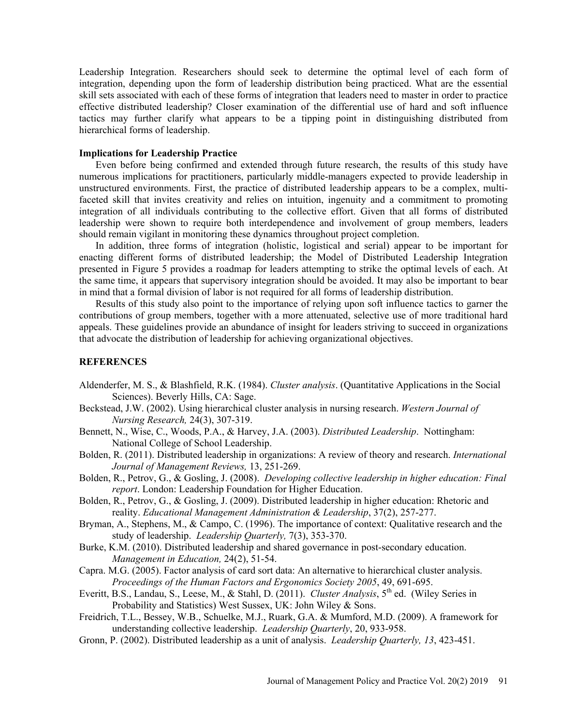Leadership Integration. Researchers should seek to determine the optimal level of each form of integration, depending upon the form of leadership distribution being practiced. What are the essential skill sets associated with each of these forms of integration that leaders need to master in order to practice effective distributed leadership? Closer examination of the differential use of hard and soft influence tactics may further clarify what appears to be a tipping point in distinguishing distributed from hierarchical forms of leadership.

### **Implications for Leadership Practice**

Even before being confirmed and extended through future research, the results of this study have numerous implications for practitioners, particularly middle-managers expected to provide leadership in unstructured environments. First, the practice of distributed leadership appears to be a complex, multifaceted skill that invites creativity and relies on intuition, ingenuity and a commitment to promoting integration of all individuals contributing to the collective effort. Given that all forms of distributed leadership were shown to require both interdependence and involvement of group members, leaders should remain vigilant in monitoring these dynamics throughout project completion.

In addition, three forms of integration (holistic, logistical and serial) appear to be important for enacting different forms of distributed leadership; the Model of Distributed Leadership Integration presented in Figure 5 provides a roadmap for leaders attempting to strike the optimal levels of each. At the same time, it appears that supervisory integration should be avoided. It may also be important to bear in mind that a formal division of labor is not required for all forms of leadership distribution.

Results of this study also point to the importance of relying upon soft influence tactics to garner the contributions of group members, together with a more attenuated, selective use of more traditional hard appeals. These guidelines provide an abundance of insight for leaders striving to succeed in organizations that advocate the distribution of leadership for achieving organizational objectives.

### **REFERENCES**

- Aldenderfer, M. S., & Blashfield, R.K. (1984). *Cluster analysis*. (Quantitative Applications in the Social Sciences). Beverly Hills, CA: Sage.
- Beckstead, J.W. (2002). Using hierarchical cluster analysis in nursing research. *Western Journal of Nursing Research,* 24(3), 307-319.
- Bennett, N., Wise, C., Woods, P.A., & Harvey, J.A. (2003). *Distributed Leadership*. Nottingham: National College of School Leadership.
- Bolden, R. (2011). Distributed leadership in organizations: A review of theory and research. *International Journal of Management Reviews,* 13, 251-269.
- Bolden, R., Petrov, G., & Gosling, J. (2008). *Developing collective leadership in higher education: Final report*. London: Leadership Foundation for Higher Education.
- Bolden, R., Petrov, G., & Gosling, J. (2009). Distributed leadership in higher education: Rhetoric and reality. *Educational Management Administration & Leadership*, 37(2), 257-277.
- Bryman, A., Stephens, M., & Campo, C. (1996). The importance of context: Qualitative research and the study of leadership. *Leadership Quarterly,* 7(3), 353-370.
- Burke, K.M. (2010). Distributed leadership and shared governance in post-secondary education. *Management in Education,* 24(2), 51-54.
- Capra. M.G. (2005). Factor analysis of card sort data: An alternative to hierarchical cluster analysis. *Proceedings of the Human Factors and Ergonomics Society 2005*, 49, 691-695.
- Everitt, B.S., Landau, S., Leese, M., & Stahl, D. (2011). *Cluster Analysis*, 5<sup>th</sup> ed. (Wiley Series in Probability and Statistics) West Sussex, UK: John Wiley & Sons.
- Freidrich, T.L., Bessey, W.B., Schuelke, M.J., Ruark, G.A. & Mumford, M.D. (2009). A framework for understanding collective leadership. *Leadership Quarterly*, 20, 933-958.
- Gronn, P. (2002). Distributed leadership as a unit of analysis. *Leadership Quarterly, 13*, 423-451.